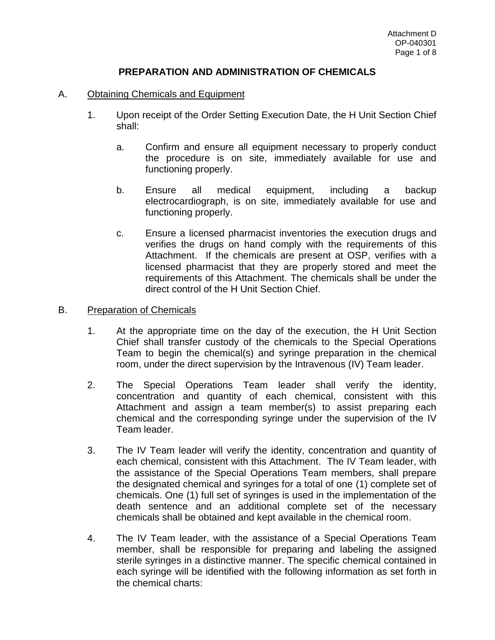# **PREPARATION AND ADMINISTRATION OF CHEMICALS**

### A. Obtaining Chemicals and Equipment

- 1. Upon receipt of the Order Setting Execution Date, the H Unit Section Chief shall:
	- a. Confirm and ensure all equipment necessary to properly conduct the procedure is on site, immediately available for use and functioning properly.
	- b. Ensure all medical equipment, including a backup electrocardiograph, is on site, immediately available for use and functioning properly.
	- c. Ensure a licensed pharmacist inventories the execution drugs and verifies the drugs on hand comply with the requirements of this Attachment. If the chemicals are present at OSP, verifies with a licensed pharmacist that they are properly stored and meet the requirements of this Attachment. The chemicals shall be under the direct control of the H Unit Section Chief.

### B. Preparation of Chemicals

- 1. At the appropriate time on the day of the execution, the H Unit Section Chief shall transfer custody of the chemicals to the Special Operations Team to begin the chemical(s) and syringe preparation in the chemical room, under the direct supervision by the Intravenous (IV) Team leader.
- 2. The Special Operations Team leader shall verify the identity, concentration and quantity of each chemical, consistent with this Attachment and assign a team member(s) to assist preparing each chemical and the corresponding syringe under the supervision of the IV Team leader.
- 3. The IV Team leader will verify the identity, concentration and quantity of each chemical, consistent with this Attachment. The IV Team leader, with the assistance of the Special Operations Team members, shall prepare the designated chemical and syringes for a total of one (1) complete set of chemicals. One (1) full set of syringes is used in the implementation of the death sentence and an additional complete set of the necessary chemicals shall be obtained and kept available in the chemical room.
- 4. The IV Team leader, with the assistance of a Special Operations Team member, shall be responsible for preparing and labeling the assigned sterile syringes in a distinctive manner. The specific chemical contained in each syringe will be identified with the following information as set forth in the chemical charts: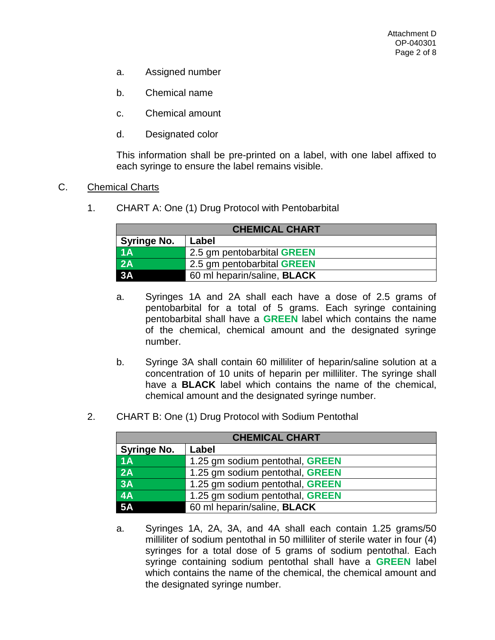- a. Assigned number
- b. Chemical name
- c. Chemical amount
- d. Designated color

This information shall be pre-printed on a label, with one label affixed to each syringe to ensure the label remains visible.

#### C. Chemical Charts

1. CHART A: One (1) Drug Protocol with Pentobarbital

| <b>CHEMICAL CHART</b> |                                    |  |
|-----------------------|------------------------------------|--|
| <b>Syringe No.</b>    | Label                              |  |
| 1A                    | 2.5 gm pentobarbital GREEN         |  |
| 2A                    | 2.5 gm pentobarbital GREEN         |  |
| 3A                    | 60 ml heparin/saline, <b>BLACK</b> |  |

- a. Syringes 1A and 2A shall each have a dose of 2.5 grams of pentobarbital for a total of 5 grams. Each syringe containing pentobarbital shall have a **GREEN** label which contains the name of the chemical, chemical amount and the designated syringe number.
- b. Syringe 3A shall contain 60 milliliter of heparin/saline solution at a concentration of 10 units of heparin per milliliter. The syringe shall have a **BLACK** label which contains the name of the chemical, chemical amount and the designated syringe number.
- 2. CHART B: One (1) Drug Protocol with Sodium Pentothal

| <b>CHEMICAL CHART</b> |                                    |  |
|-----------------------|------------------------------------|--|
| <b>Syringe No.</b>    | Label                              |  |
| 1A                    | 1.25 gm sodium pentothal, GREEN    |  |
| 2A                    | 1.25 gm sodium pentothal, GREEN    |  |
| <b>3A</b>             | 1.25 gm sodium pentothal, GREEN    |  |
| 4A                    | 1.25 gm sodium pentothal, GREEN    |  |
| <b>5A</b>             | 60 ml heparin/saline, <b>BLACK</b> |  |

a. Syringes 1A, 2A, 3A, and 4A shall each contain 1.25 grams/50 milliliter of sodium pentothal in 50 milliliter of sterile water in four (4) syringes for a total dose of 5 grams of sodium pentothal. Each syringe containing sodium pentothal shall have a **GREEN** label which contains the name of the chemical, the chemical amount and the designated syringe number.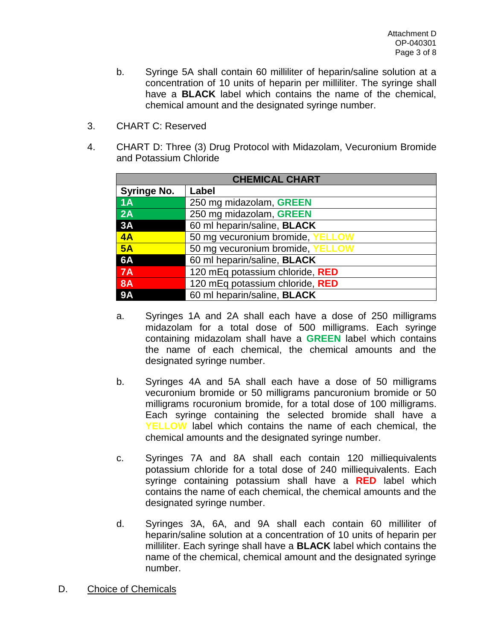- b. Syringe 5A shall contain 60 milliliter of heparin/saline solution at a concentration of 10 units of heparin per milliliter. The syringe shall have a **BLACK** label which contains the name of the chemical, chemical amount and the designated syringe number.
- 3. CHART C: Reserved
- 4. CHART D: Three (3) Drug Protocol with Midazolam, Vecuronium Bromide and Potassium Chloride

| <b>CHEMICAL CHART</b> |                                  |  |
|-----------------------|----------------------------------|--|
| <b>Syringe No.</b>    | Label                            |  |
| 1A                    | 250 mg midazolam, GREEN          |  |
| 2A                    | 250 mg midazolam, GREEN          |  |
| 3A                    | 60 ml heparin/saline, BLACK      |  |
| 4A                    | 50 mg vecuronium bromide, YELLOW |  |
| 5A                    | 50 mg vecuronium bromide, YELLOW |  |
| 6A                    | 60 ml heparin/saline, BLACK      |  |
| 7A                    | 120 mEq potassium chloride, RED  |  |
| <b>8A</b>             | 120 mEq potassium chloride, RED  |  |
| <b>9A</b>             | 60 ml heparin/saline, BLACK      |  |

- a. Syringes 1A and 2A shall each have a dose of 250 milligrams midazolam for a total dose of 500 milligrams. Each syringe containing midazolam shall have a **GREEN** label which contains the name of each chemical, the chemical amounts and the designated syringe number.
- b. Syringes 4A and 5A shall each have a dose of 50 milligrams vecuronium bromide or 50 milligrams pancuronium bromide or 50 milligrams rocuronium bromide, for a total dose of 100 milligrams. Each syringe containing the selected bromide shall have a **YELLOW** label which contains the name of each chemical, the chemical amounts and the designated syringe number.
- c. Syringes 7A and 8A shall each contain 120 milliequivalents potassium chloride for a total dose of 240 milliequivalents. Each syringe containing potassium shall have a **RED** label which contains the name of each chemical, the chemical amounts and the designated syringe number.
- d. Syringes 3A, 6A, and 9A shall each contain 60 milliliter of heparin/saline solution at a concentration of 10 units of heparin per milliliter. Each syringe shall have a **BLACK** label which contains the name of the chemical, chemical amount and the designated syringe number.
- D. Choice of Chemicals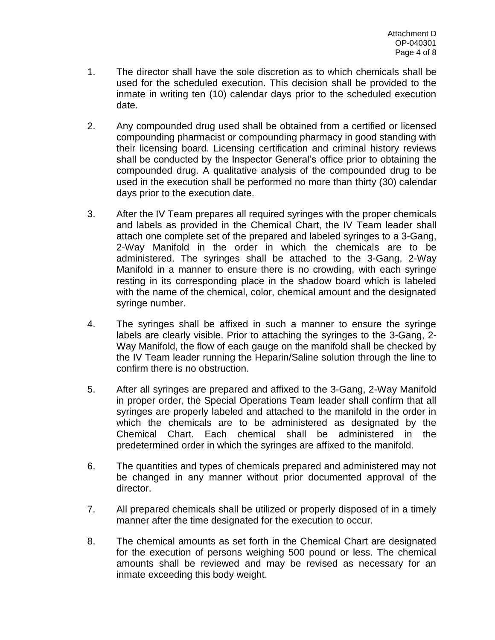- 1. The director shall have the sole discretion as to which chemicals shall be used for the scheduled execution. This decision shall be provided to the inmate in writing ten (10) calendar days prior to the scheduled execution date.
- 2. Any compounded drug used shall be obtained from a certified or licensed compounding pharmacist or compounding pharmacy in good standing with their licensing board. Licensing certification and criminal history reviews shall be conducted by the Inspector General's office prior to obtaining the compounded drug. A qualitative analysis of the compounded drug to be used in the execution shall be performed no more than thirty (30) calendar days prior to the execution date.
- 3. After the IV Team prepares all required syringes with the proper chemicals and labels as provided in the Chemical Chart, the IV Team leader shall attach one complete set of the prepared and labeled syringes to a 3-Gang, 2-Way Manifold in the order in which the chemicals are to be administered. The syringes shall be attached to the 3-Gang, 2-Way Manifold in a manner to ensure there is no crowding, with each syringe resting in its corresponding place in the shadow board which is labeled with the name of the chemical, color, chemical amount and the designated syringe number.
- 4. The syringes shall be affixed in such a manner to ensure the syringe labels are clearly visible. Prior to attaching the syringes to the 3-Gang, 2- Way Manifold, the flow of each gauge on the manifold shall be checked by the IV Team leader running the Heparin/Saline solution through the line to confirm there is no obstruction.
- 5. After all syringes are prepared and affixed to the 3-Gang, 2-Way Manifold in proper order, the Special Operations Team leader shall confirm that all syringes are properly labeled and attached to the manifold in the order in which the chemicals are to be administered as designated by the Chemical Chart. Each chemical shall be administered in the predetermined order in which the syringes are affixed to the manifold.
- 6. The quantities and types of chemicals prepared and administered may not be changed in any manner without prior documented approval of the director.
- 7. All prepared chemicals shall be utilized or properly disposed of in a timely manner after the time designated for the execution to occur.
- 8. The chemical amounts as set forth in the Chemical Chart are designated for the execution of persons weighing 500 pound or less. The chemical amounts shall be reviewed and may be revised as necessary for an inmate exceeding this body weight.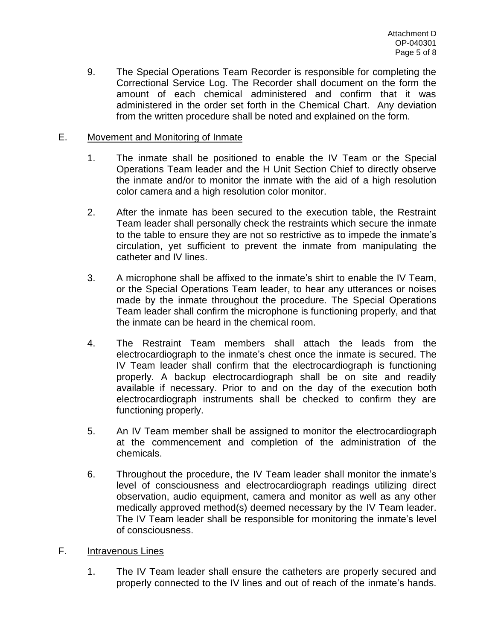9. The Special Operations Team Recorder is responsible for completing the Correctional Service Log. The Recorder shall document on the form the amount of each chemical administered and confirm that it was administered in the order set forth in the Chemical Chart. Any deviation from the written procedure shall be noted and explained on the form.

## E. Movement and Monitoring of Inmate

- 1. The inmate shall be positioned to enable the IV Team or the Special Operations Team leader and the H Unit Section Chief to directly observe the inmate and/or to monitor the inmate with the aid of a high resolution color camera and a high resolution color monitor.
- 2. After the inmate has been secured to the execution table, the Restraint Team leader shall personally check the restraints which secure the inmate to the table to ensure they are not so restrictive as to impede the inmate's circulation, yet sufficient to prevent the inmate from manipulating the catheter and IV lines.
- 3. A microphone shall be affixed to the inmate's shirt to enable the IV Team, or the Special Operations Team leader, to hear any utterances or noises made by the inmate throughout the procedure. The Special Operations Team leader shall confirm the microphone is functioning properly, and that the inmate can be heard in the chemical room.
- 4. The Restraint Team members shall attach the leads from the electrocardiograph to the inmate's chest once the inmate is secured. The IV Team leader shall confirm that the electrocardiograph is functioning properly. A backup electrocardiograph shall be on site and readily available if necessary. Prior to and on the day of the execution both electrocardiograph instruments shall be checked to confirm they are functioning properly.
- 5. An IV Team member shall be assigned to monitor the electrocardiograph at the commencement and completion of the administration of the chemicals.
- 6. Throughout the procedure, the IV Team leader shall monitor the inmate's level of consciousness and electrocardiograph readings utilizing direct observation, audio equipment, camera and monitor as well as any other medically approved method(s) deemed necessary by the IV Team leader. The IV Team leader shall be responsible for monitoring the inmate's level of consciousness.
- F. Intravenous Lines
	- 1. The IV Team leader shall ensure the catheters are properly secured and properly connected to the IV lines and out of reach of the inmate's hands.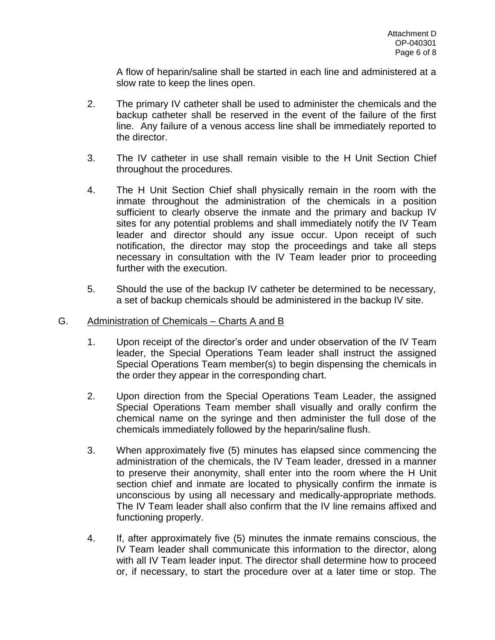A flow of heparin/saline shall be started in each line and administered at a slow rate to keep the lines open.

- 2. The primary IV catheter shall be used to administer the chemicals and the backup catheter shall be reserved in the event of the failure of the first line. Any failure of a venous access line shall be immediately reported to the director.
- 3. The IV catheter in use shall remain visible to the H Unit Section Chief throughout the procedures.
- 4. The H Unit Section Chief shall physically remain in the room with the inmate throughout the administration of the chemicals in a position sufficient to clearly observe the inmate and the primary and backup IV sites for any potential problems and shall immediately notify the IV Team leader and director should any issue occur. Upon receipt of such notification, the director may stop the proceedings and take all steps necessary in consultation with the IV Team leader prior to proceeding further with the execution.
- 5. Should the use of the backup IV catheter be determined to be necessary, a set of backup chemicals should be administered in the backup IV site.

## G. Administration of Chemicals – Charts A and B

- 1. Upon receipt of the director's order and under observation of the IV Team leader, the Special Operations Team leader shall instruct the assigned Special Operations Team member(s) to begin dispensing the chemicals in the order they appear in the corresponding chart.
- 2. Upon direction from the Special Operations Team Leader, the assigned Special Operations Team member shall visually and orally confirm the chemical name on the syringe and then administer the full dose of the chemicals immediately followed by the heparin/saline flush.
- 3. When approximately five (5) minutes has elapsed since commencing the administration of the chemicals, the IV Team leader, dressed in a manner to preserve their anonymity, shall enter into the room where the H Unit section chief and inmate are located to physically confirm the inmate is unconscious by using all necessary and medically-appropriate methods. The IV Team leader shall also confirm that the IV line remains affixed and functioning properly.
- 4. If, after approximately five (5) minutes the inmate remains conscious, the IV Team leader shall communicate this information to the director, along with all IV Team leader input. The director shall determine how to proceed or, if necessary, to start the procedure over at a later time or stop. The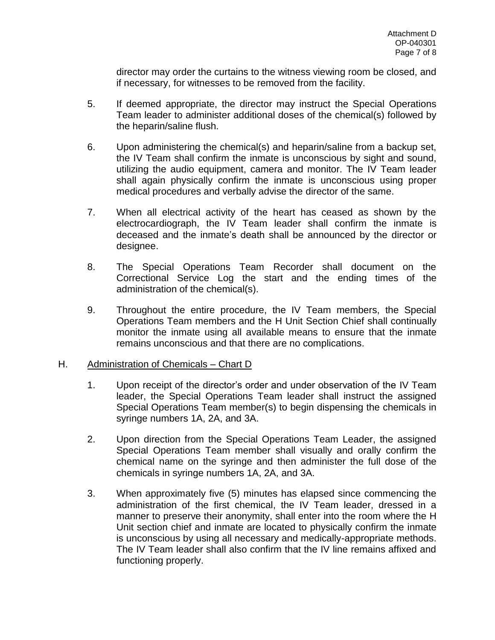director may order the curtains to the witness viewing room be closed, and if necessary, for witnesses to be removed from the facility.

- 5. If deemed appropriate, the director may instruct the Special Operations Team leader to administer additional doses of the chemical(s) followed by the heparin/saline flush.
- 6. Upon administering the chemical(s) and heparin/saline from a backup set, the IV Team shall confirm the inmate is unconscious by sight and sound, utilizing the audio equipment, camera and monitor. The IV Team leader shall again physically confirm the inmate is unconscious using proper medical procedures and verbally advise the director of the same.
- 7. When all electrical activity of the heart has ceased as shown by the electrocardiograph, the IV Team leader shall confirm the inmate is deceased and the inmate's death shall be announced by the director or designee.
- 8. The Special Operations Team Recorder shall document on the Correctional Service Log the start and the ending times of the administration of the chemical(s).
- 9. Throughout the entire procedure, the IV Team members, the Special Operations Team members and the H Unit Section Chief shall continually monitor the inmate using all available means to ensure that the inmate remains unconscious and that there are no complications.

## H. Administration of Chemicals – Chart D

- 1. Upon receipt of the director's order and under observation of the IV Team leader, the Special Operations Team leader shall instruct the assigned Special Operations Team member(s) to begin dispensing the chemicals in syringe numbers 1A, 2A, and 3A.
- 2. Upon direction from the Special Operations Team Leader, the assigned Special Operations Team member shall visually and orally confirm the chemical name on the syringe and then administer the full dose of the chemicals in syringe numbers 1A, 2A, and 3A.
- 3. When approximately five (5) minutes has elapsed since commencing the administration of the first chemical, the IV Team leader, dressed in a manner to preserve their anonymity, shall enter into the room where the H Unit section chief and inmate are located to physically confirm the inmate is unconscious by using all necessary and medically-appropriate methods. The IV Team leader shall also confirm that the IV line remains affixed and functioning properly.